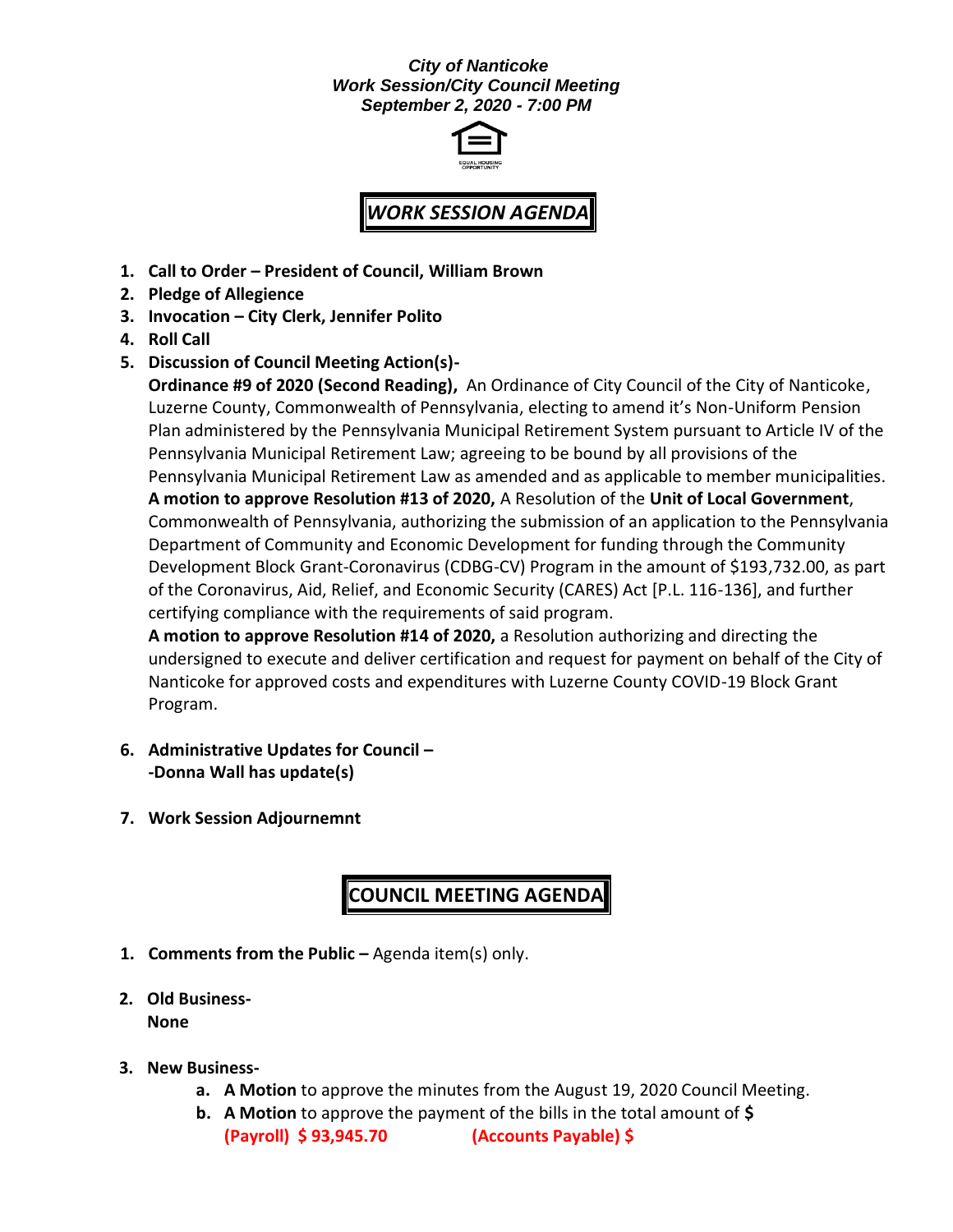#### *City of Nanticoke Work Session/City Council Meeting September 2, 2020 - 7:00 PM*



# *WORK SESSION AGENDA*

- **1. Call to Order – President of Council, William Brown**
- **2. Pledge of Allegience**
- **3. Invocation – City Clerk, Jennifer Polito**
- **4. Roll Call**
- **5. Discussion of Council Meeting Action(s)-**

**Ordinance #9 of 2020 (Second Reading),** An Ordinance of City Council of the City of Nanticoke, Luzerne County, Commonwealth of Pennsylvania, electing to amend it's Non-Uniform Pension Plan administered by the Pennsylvania Municipal Retirement System pursuant to Article IV of the Pennsylvania Municipal Retirement Law; agreeing to be bound by all provisions of the Pennsylvania Municipal Retirement Law as amended and as applicable to member municipalities. **A motion to approve Resolution #13 of 2020,** A Resolution of the **Unit of Local Government**, Commonwealth of Pennsylvania, authorizing the submission of an application to the Pennsylvania Department of Community and Economic Development for funding through the Community Development Block Grant-Coronavirus (CDBG-CV) Program in the amount of \$193,732.00, as part of the Coronavirus, Aid, Relief, and Economic Security (CARES) Act [P.L. 116-136], and further

certifying compliance with the requirements of said program. **A motion to approve Resolution #14 of 2020,** a Resolution authorizing and directing the undersigned to execute and deliver certification and request for payment on behalf of the City of Nanticoke for approved costs and expenditures with Luzerne County COVID-19 Block Grant Program.

- **6. Administrative Updates for Council – -Donna Wall has update(s)**
- **7. Work Session Adjournemnt**

## **COUNCIL MEETING AGENDA**

- **1. Comments from the Public –** Agenda item(s) only.
- **2. Old Business-None**
- **3. New Business**
	- **a. A Motion** to approve the minutes from the August 19, 2020 Council Meeting.
	- **b. A Motion** to approve the payment of the bills in the total amount of **\$ (Payroll) \$ 93,945.70 (Accounts Payable) \$**